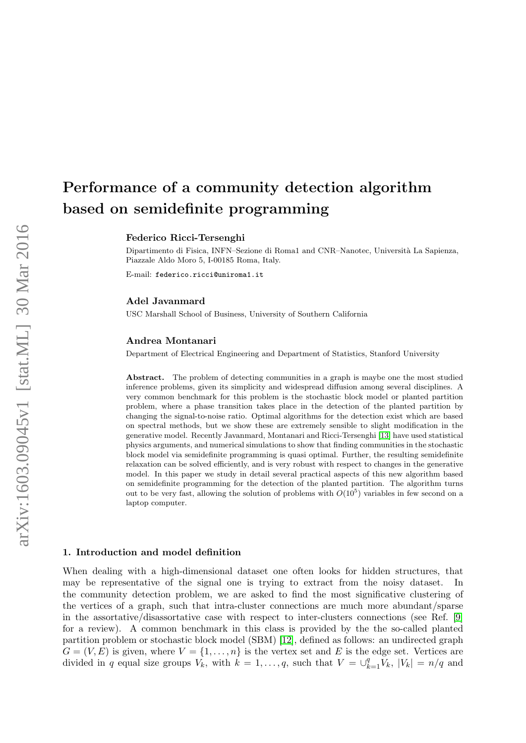# Performance of a community detection algorithm based on semidefinite programming

Federico Ricci-Tersenghi

Dipartimento di Fisica, INFN–Sezione di Roma1 and CNR–Nanotec, Universit`a La Sapienza, Piazzale Aldo Moro 5, I-00185 Roma, Italy.

E-mail: federico.ricci@uniroma1.it

#### Adel Javanmard

USC Marshall School of Business, University of Southern California

#### Andrea Montanari

Department of Electrical Engineering and Department of Statistics, Stanford University

Abstract. The problem of detecting communities in a graph is maybe one the most studied inference problems, given its simplicity and widespread diffusion among several disciplines. A very common benchmark for this problem is the stochastic block model or planted partition problem, where a phase transition takes place in the detection of the planted partition by changing the signal-to-noise ratio. Optimal algorithms for the detection exist which are based on spectral methods, but we show these are extremely sensible to slight modification in the generative model. Recently Javanmard, Montanari and Ricci-Tersenghi [\[13\]](#page-10-0) have used statistical physics arguments, and numerical simulations to show that finding communities in the stochastic block model via semidefinite programming is quasi optimal. Further, the resulting semidefinite relaxation can be solved efficiently, and is very robust with respect to changes in the generative model. In this paper we study in detail several practical aspects of this new algorithm based on semidefinite programming for the detection of the planted partition. The algorithm turns out to be very fast, allowing the solution of problems with  $O(10^5)$  variables in few second on a laptop computer.

## 1. Introduction and model definition

When dealing with a high-dimensional dataset one often looks for hidden structures, that may be representative of the signal one is trying to extract from the noisy dataset. In the community detection problem, we are asked to find the most significative clustering of the vertices of a graph, such that intra-cluster connections are much more abundant/sparse in the assortative/disassortative case with respect to inter-clusters connections (see Ref. [\[9\]](#page-10-1) for a review). A common benchmark in this class is provided by the the so-called planted partition problem or stochastic block model (SBM) [\[12\]](#page-10-2), defined as follows: an undirected graph  $G = (V, E)$  is given, where  $V = \{1, \ldots, n\}$  is the vertex set and E is the edge set. Vertices are divided in q equal size groups  $V_k$ , with  $k = 1, \ldots, q$ , such that  $V = \bigcup_{k=1}^q V_k$ ,  $|V_k| = n/q$  and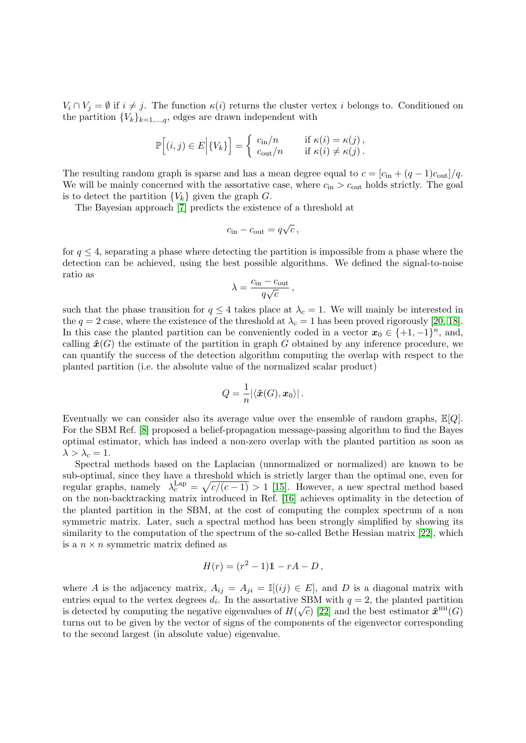$V_i \cap V_j = \emptyset$  if  $i \neq j$ . The function  $\kappa(i)$  returns the cluster vertex i belongs to. Conditioned on the partition  ${V_k}_{k=1,\dots,q}$ , edges are drawn independent with

$$
\mathbb{P}\Big[(i,j)\in E\Big|\{V_k\}\Big] = \begin{cases} c_{\rm in}/n & \text{if } \kappa(i) = \kappa(j), \\ c_{\rm out}/n & \text{if } \kappa(i) \neq \kappa(j). \end{cases}
$$

The resulting random graph is sparse and has a mean degree equal to  $c = [c_{in} + (q-1)c_{out}]/q$ . We will be mainly concerned with the assortative case, where  $c_{\rm in} > c_{\rm out}$  holds strictly. The goal is to detect the partition  ${V_k}$  given the graph G.

The Bayesian approach [\[7\]](#page-10-3) predicts the existence of a threshold at

$$
c_{\rm in} - c_{\rm out} = q\sqrt{c}\,,
$$

for  $q \leq 4$ , separating a phase where detecting the partition is impossible from a phase where the detection can be achieved, using the best possible algorithms. We defined the signal-to-noise ratio as

$$
\lambda = \frac{c_{\rm in} - c_{\rm out}}{q\sqrt{c}}\,,
$$

such that the phase transition for  $q \leq 4$  takes place at  $\lambda_c = 1$ . We will mainly be interested in the  $q = 2$  case, where the existence of the threshold at  $\lambda_c = 1$  has been proved rigorously [\[20,](#page-10-4) [18\]](#page-10-5). In this case the planted partition can be conveniently coded in a vector  $x_0 \in \{+1, -1\}^n$ , and, calling  $\hat{\mathbf{x}}(G)$  the estimate of the partition in graph G obtained by any inference procedure, we can quantify the success of the detection algorithm computing the overlap with respect to the planted partition (i.e. the absolute value of the normalized scalar product)

$$
Q = \frac{1}{n} |\langle \hat{\boldsymbol{x}}(G), \boldsymbol{x}_0 \rangle|.
$$

Eventually we can consider also its average value over the ensemble of random graphs,  $\mathbb{E}[Q]$ . For the SBM Ref. [\[8\]](#page-10-6) proposed a belief-propagation message-passing algorithm to find the Bayes optimal estimator, which has indeed a non-zero overlap with the planted partition as soon as  $\lambda > \lambda_c = 1$ .

Spectral methods based on the Laplacian (unnormalized or normalized) are known to be sub-optimal, since they have a threshold which is strictly larger than the optimal one, even for regular graphs, namely  $\lambda_c^{\text{Lap}} = \sqrt{c/(c-1)} > 1$  [\[15\]](#page-10-7). However, a new spectral method based on the non-backtracking matrix introduced in Ref. [\[16\]](#page-10-8) achieves optimality in the detection of the planted partition in the SBM, at the cost of computing the complex spectrum of a non symmetric matrix. Later, such a spectral method has been strongly simplified by showing its similarity to the computation of the spectrum of the so-called Bethe Hessian matrix [\[22\]](#page-11-0), which is a  $n \times n$  symmetric matrix defined as

$$
H(r) = (r^2 - 1)1 - rA - D,
$$

where A is the adjacency matrix,  $A_{ij} = A_{ji} = \mathbb{I}[(ij) \in E]$ , and D is a diagonal matrix with entries equal to the vertex degrees  $d_i$ . In the assortative SBM with  $q = 2$ , the planted partition is detected by computing the negative eigenvalues of  $H(\sqrt{c})$  [\[22\]](#page-11-0) and the best estimator  $\hat{\bm{x}}^{\text{BH}}(G)$ turns out to be given by the vector of signs of the components of the eigenvector corresponding to the second largest (in absolute value) eigenvalue.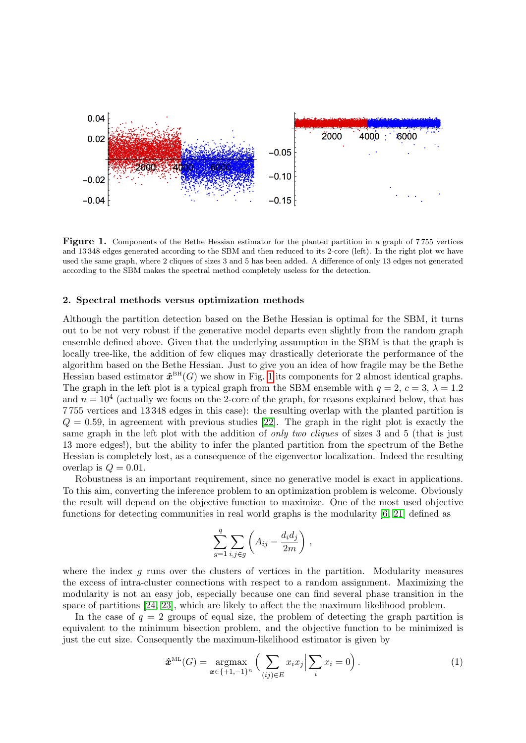

<span id="page-2-0"></span>Figure 1. Components of the Bethe Hessian estimator for the planted partition in a graph of 7755 vertices and 13 348 edges generated according to the SBM and then reduced to its 2-core (left). In the right plot we have used the same graph, where 2 cliques of sizes 3 and 5 has been added. A difference of only 13 edges not generated according to the SBM makes the spectral method completely useless for the detection.

## 2. Spectral methods versus optimization methods

Although the partition detection based on the Bethe Hessian is optimal for the SBM, it turns out to be not very robust if the generative model departs even slightly from the random graph ensemble defined above. Given that the underlying assumption in the SBM is that the graph is locally tree-like, the addition of few cliques may drastically deteriorate the performance of the algorithm based on the Bethe Hessian. Just to give you an idea of how fragile may be the Bethe Hessian based estimator  $\hat{\mathbf{x}}^{\text{BH}}(G)$  we show in Fig. [1](#page-2-0) its components for 2 almost identical graphs. The graph in the left plot is a typical graph from the SBM ensemble with  $q = 2, c = 3, \lambda = 1.2$ and  $n = 10<sup>4</sup>$  (actually we focus on the 2-core of the graph, for reasons explained below, that has 7 755 vertices and 13 348 edges in this case): the resulting overlap with the planted partition is  $Q = 0.59$ , in agreement with previous studies [\[22\]](#page-11-0). The graph in the right plot is exactly the same graph in the left plot with the addition of only two cliques of sizes 3 and 5 (that is just 13 more edges!), but the ability to infer the planted partition from the spectrum of the Bethe Hessian is completely lost, as a consequence of the eigenvector localization. Indeed the resulting overlap is  $Q = 0.01$ .

Robustness is an important requirement, since no generative model is exact in applications. To this aim, converting the inference problem to an optimization problem is welcome. Obviously the result will depend on the objective function to maximize. One of the most used objective functions for detecting communities in real world graphs is the modularity [\[6,](#page-10-9) [21\]](#page-11-1) defined as

$$
\sum_{g=1}^q \sum_{i,j \in g} \left( A_{ij} - \frac{d_i d_j}{2m} \right) ,
$$

where the index  $q$  runs over the clusters of vertices in the partition. Modularity measures the excess of intra-cluster connections with respect to a random assignment. Maximizing the modularity is not an easy job, especially because one can find several phase transition in the space of partitions [\[24,](#page-11-2) [23\]](#page-11-3), which are likely to affect the the maximum likelihood problem.

In the case of  $q = 2$  groups of equal size, the problem of detecting the graph partition is equivalent to the minimum bisection problem, and the objective function to be minimized is just the cut size. Consequently the maximum-likelihood estimator is given by

<span id="page-2-1"></span>
$$
\hat{\boldsymbol{x}}^{\text{ML}}(G) = \underset{\boldsymbol{x} \in \{+1, -1\}^n}{\text{argmax}} \left( \sum_{(ij) \in E} x_i x_j \middle| \sum_i x_i = 0 \right). \tag{1}
$$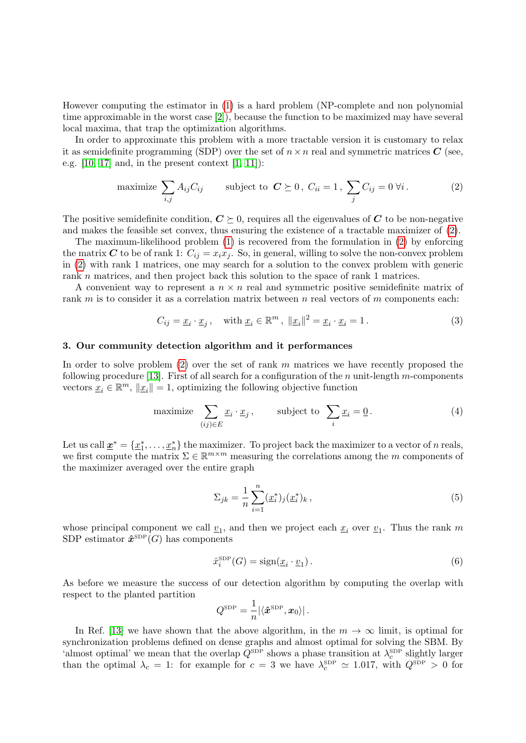However computing the estimator in [\(1\)](#page-2-1) is a hard problem (NP-complete and non polynomial time approximable in the worst case [\[2\]](#page-10-10)), because the function to be maximized may have several local maxima, that trap the optimization algorithms.

In order to approximate this problem with a more tractable version it is customary to relax it as semidefinite programming (SDP) over the set of  $n \times n$  real and symmetric matrices C (see, e.g.  $[10, 17]$  $[10, 17]$  and, in the present context  $[1, 11]$  $[1, 11]$ :

<span id="page-3-0"></span>maximize 
$$
\sum_{i,j} A_{ij} C_{ij}
$$
 subject to  $C \succeq 0$ ,  $C_{ii} = 1$ ,  $\sum_{j} C_{ij} = 0 \forall i$ . (2)

The positive semidefinite condition,  $C \succeq 0$ , requires all the eigenvalues of C to be non-negative and makes the feasible set convex, thus ensuring the existence of a tractable maximizer of [\(2\)](#page-3-0).

The maximum-likelihood problem [\(1\)](#page-2-1) is recovered from the formulation in [\(2\)](#page-3-0) by enforcing the matrix C to be of rank 1:  $C_{ij} = x_i x_j$ . So, in general, willing to solve the non-convex problem in [\(2\)](#page-3-0) with rank 1 matrices, one may search for a solution to the convex problem with generic rank n matrices, and then project back this solution to the space of rank 1 matrices.

A convenient way to represent a  $n \times n$  real and symmetric positive semidefinite matrix of rank  $m$  is to consider it as a correlation matrix between  $n$  real vectors of  $m$  components each:

$$
C_{ij} = \underline{x}_i \cdot \underline{x}_j, \quad \text{with } \underline{x}_i \in \mathbb{R}^m, \ \|\underline{x}_i\|^2 = \underline{x}_i \cdot \underline{x}_i = 1. \tag{3}
$$

#### 3. Our community detection algorithm and it performances

In order to solve problem  $(2)$  over the set of rank m matrices we have recently proposed the following procedure [\[13\]](#page-10-0). First of all search for a configuration of the n unit-length m-components vectors  $x_i \in \mathbb{R}^m$ ,  $||x_i|| = 1$ , optimizing the following objective function

<span id="page-3-1"></span>maximize 
$$
\sum_{(ij)\in E} \underline{x}_i \cdot \underline{x}_j
$$
, subject to  $\sum_i \underline{x}_i = \underline{0}$ . (4)

Let us call  $\underline{\mathbf{x}}^* = {\underline{x}_1^*, \dots, \underline{x}_n^*}$  the maximizer. To project back the maximizer to a vector of n reals, we first compute the matrix  $\Sigma \in \mathbb{R}^{m \times m}$  measuring the correlations among the m components of the maximizer averaged over the entire graph

<span id="page-3-3"></span>
$$
\Sigma_{jk} = \frac{1}{n} \sum_{i=1}^{n} (\underline{x}_i^*)_j (\underline{x}_i^*)_k, \qquad (5)
$$

whose principal component we call  $\underline{v}_1$ , and then we project each  $\underline{x}_i$  over  $\underline{v}_1$ . Thus the rank m SDP estimator  $\mathbf{\hat{x}}^{\text{SDP}}(G)$  has components

<span id="page-3-2"></span>
$$
\hat{x}_i^{\text{SDP}}(G) = \text{sign}(\underline{x}_i \cdot \underline{v}_1). \tag{6}
$$

As before we measure the success of our detection algorithm by computing the overlap with respect to the planted partition

$$
Q^{\text{\tiny SDP}} = \frac{1}{n} \vert \langle \bm{\hat{x}}^{\text{\tiny SDP}}, \bm{x}_0 \rangle \vert \,.
$$

In Ref. [\[13\]](#page-10-0) we have shown that the above algorithm, in the  $m \to \infty$  limit, is optimal for synchronization problems defined on dense graphs and almost optimal for solving the SBM. By 'almost optimal' we mean that the overlap  $Q^{\text{SDP}}$  shows a phase transition at  $\lambda_c^{\text{SDP}}$  slightly larger than the optimal  $\lambda_c = 1$ : for example for  $c = 3$  we have  $\lambda_c^{\text{SDP}} \approx 1.017$ , with  $Q^{\text{SDP}} > 0$  for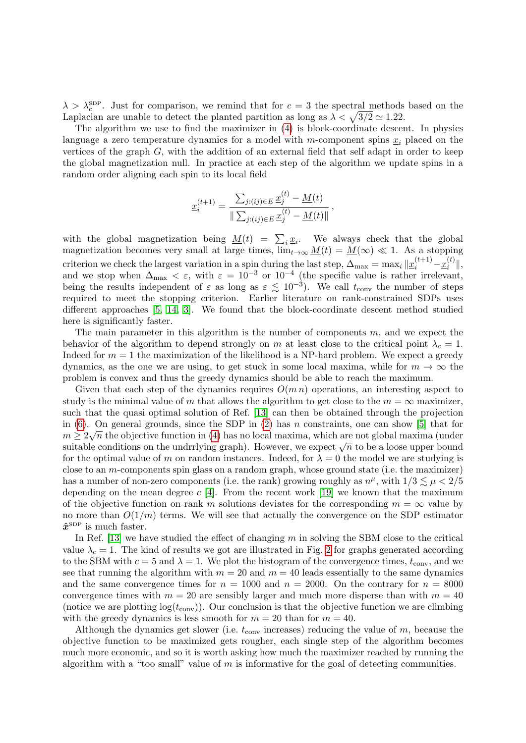$\lambda > \lambda_c^{\text{SDP}}$ . Just for comparison, we remind that for  $c = 3$  the spectral methods based on the Laplacian are unable to detect the planted partition as long as  $\lambda < \sqrt{3/2} \simeq 1.22$ .

The algorithm we use to find the maximizer in [\(4\)](#page-3-1) is block-coordinate descent. In physics language a zero temperature dynamics for a model with m-component spins  $x_i$  placed on the vertices of the graph G, with the addition of an external field that self adapt in order to keep the global magnetization null. In practice at each step of the algorithm we update spins in a random order aligning each spin to its local field

$$
\underline{x}_i^{(t+1)} = \frac{\sum_{j:(ij) \in E} \underline{x}_j^{(t)} - \underline{M}(t)}{\|\sum_{j:(ij) \in E} \underline{x}_j^{(t)} - \underline{M}(t)\|},
$$

with the global magnetization being  $\underline{M}(t) = \sum_i \underline{x}_i$ . We always check that the global magnetization becomes very small at large times,  $\lim_{t\to\infty} \underline{M}(t) = \underline{M}(\infty) \ll 1$ . As a stopping criterion we check the largest variation in a spin during the last step,  $\Delta_{\max} = \max_i ||\underline{x}_i^{(t+1)} - \underline{x}_i^{(t)}||$  $\binom{u}{i}$ , and we stop when  $\Delta_{\text{max}} < \varepsilon$ , with  $\varepsilon = 10^{-3}$  or  $10^{-4}$  (the specific value is rather irrelevant, being the results independent of  $\varepsilon$  as long as  $\varepsilon \lesssim 10^{-3}$ ). We call  $t_{\text{conv}}$  the number of steps required to meet the stopping criterion. Earlier literature on rank-constrained SDPs uses different approaches [\[5,](#page-10-15) [14,](#page-10-16) [3\]](#page-10-17). We found that the block-coordinate descent method studied here is significantly faster.

The main parameter in this algorithm is the number of components  $m$ , and we expect the behavior of the algorithm to depend strongly on m at least close to the critical point  $\lambda_c = 1$ . Indeed for  $m = 1$  the maximization of the likelihood is a NP-hard problem. We expect a greedy dynamics, as the one we are using, to get stuck in some local maxima, while for  $m \to \infty$  the problem is convex and thus the greedy dynamics should be able to reach the maximum.

Given that each step of the dynamics requires  $O(m n)$  operations, an interesting aspect to study is the minimal value of m that allows the algorithm to get close to the  $m = \infty$  maximizer, such that the quasi optimal solution of Ref. [\[13\]](#page-10-0) can then be obtained through the projection in [\(6\)](#page-3-2). On general grounds, since the SDP in [\(2\)](#page-3-0) has n constraints, one can show [\[5\]](#page-10-15) that for  $m \geq 2\sqrt{n}$  the objective function in [\(4\)](#page-3-1) has no local maxima, which are not global maxima (under  $m \geq 2\sqrt{n}$  the objective function in (4) has no local maxima, which are not global maxima (under suitable conditions on the undrrlying graph). However, we expect  $\sqrt{n}$  to be a loose upper bound for the optimal value of m on random instances. Indeed, for  $\lambda = 0$  the model we are studying is close to an m-components spin glass on a random graph, whose ground state (i.e. the maximizer) has a number of non-zero components (i.e. the rank) growing roughly as  $n^{\mu}$ , with  $1/3 \lesssim \mu < 2/5$ depending on the mean degree c [\[4\]](#page-10-18). From the recent work [\[19\]](#page-10-19) we known that the maximum of the objective function on rank m solutions deviates for the corresponding  $m = \infty$  value by no more than  $O(1/m)$  terms. We will see that actually the convergence on the SDP estimator  $\hat{x}^{\text{SDP}}$  is much faster.

In Ref. [\[13\]](#page-10-0) we have studied the effect of changing  $m$  in solving the SBM close to the critical value  $\lambda_c = 1$ . The kind of results we got are illustrated in Fig. [2](#page-5-0) for graphs generated according to the SBM with  $c = 5$  and  $\lambda = 1$ . We plot the histogram of the convergence times,  $t_{\text{conv}}$ , and we see that running the algorithm with  $m = 20$  and  $m = 40$  leads essentially to the same dynamics and the same convergence times for  $n = 1000$  and  $n = 2000$ . On the contrary for  $n = 8000$ convergence times with  $m = 20$  are sensibly larger and much more disperse than with  $m = 40$ (notice we are plotting  $log(t_{conv})$ ). Our conclusion is that the objective function we are climbing with the greedy dynamics is less smooth for  $m = 20$  than for  $m = 40$ .

Although the dynamics get slower (i.e.  $t_{\text{conv}}$  increases) reducing the value of m, because the objective function to be maximized gets rougher, each single step of the algorithm becomes much more economic, and so it is worth asking how much the maximizer reached by running the algorithm with a "too small" value of  $m$  is informative for the goal of detecting communities.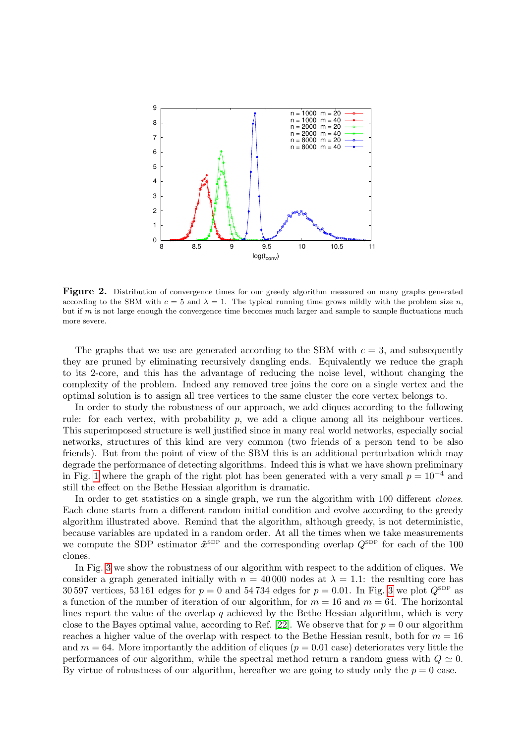

<span id="page-5-0"></span>Figure 2. Distribution of convergence times for our greedy algorithm measured on many graphs generated according to the SBM with  $c = 5$  and  $\lambda = 1$ . The typical running time grows mildly with the problem size n, but if  $m$  is not large enough the convergence time becomes much larger and sample to sample fluctuations much more severe.

The graphs that we use are generated according to the SBM with  $c = 3$ , and subsequently they are pruned by eliminating recursively dangling ends. Equivalently we reduce the graph to its 2-core, and this has the advantage of reducing the noise level, without changing the complexity of the problem. Indeed any removed tree joins the core on a single vertex and the optimal solution is to assign all tree vertices to the same cluster the core vertex belongs to.

In order to study the robustness of our approach, we add cliques according to the following rule: for each vertex, with probability  $p$ , we add a clique among all its neighbour vertices. This superimposed structure is well justified since in many real world networks, especially social networks, structures of this kind are very common (two friends of a person tend to be also friends). But from the point of view of the SBM this is an additional perturbation which may degrade the performance of detecting algorithms. Indeed this is what we have shown preliminary in Fig. [1](#page-2-0) where the graph of the right plot has been generated with a very small  $p = 10^{-4}$  and still the effect on the Bethe Hessian algorithm is dramatic.

In order to get statistics on a single graph, we run the algorithm with 100 different *clones*. Each clone starts from a different random initial condition and evolve according to the greedy algorithm illustrated above. Remind that the algorithm, although greedy, is not deterministic, because variables are updated in a random order. At all the times when we take measurements we compute the SDP estimator  $\hat{x}^{\text{SDP}}$  and the corresponding overlap  $Q^{\text{SDP}}$  for each of the 100 clones.

In Fig. [3](#page-6-0) we show the robustness of our algorithm with respect to the addition of cliques. We consider a graph generated initially with  $n = 40000$  nodes at  $\lambda = 1.1$ : the resulting core has 30 597 vertices, 53 161 edges for  $p = 0$  and 54 734 edges for  $p = 0.01$ . In Fig. [3](#page-6-0) we plot  $Q^{\text{SDP}}$  as a function of the number of iteration of our algorithm, for  $m = 16$  and  $m = 64$ . The horizontal lines report the value of the overlap q achieved by the Bethe Hessian algorithm, which is very close to the Bayes optimal value, according to Ref. [\[22\]](#page-11-0). We observe that for  $p = 0$  our algorithm reaches a higher value of the overlap with respect to the Bethe Hessian result, both for  $m = 16$ and  $m = 64$ . More importantly the addition of cliques ( $p = 0.01$  case) deteriorates very little the performances of our algorithm, while the spectral method return a random guess with  $Q \simeq 0$ . By virtue of robustness of our algorithm, hereafter we are going to study only the  $p = 0$  case.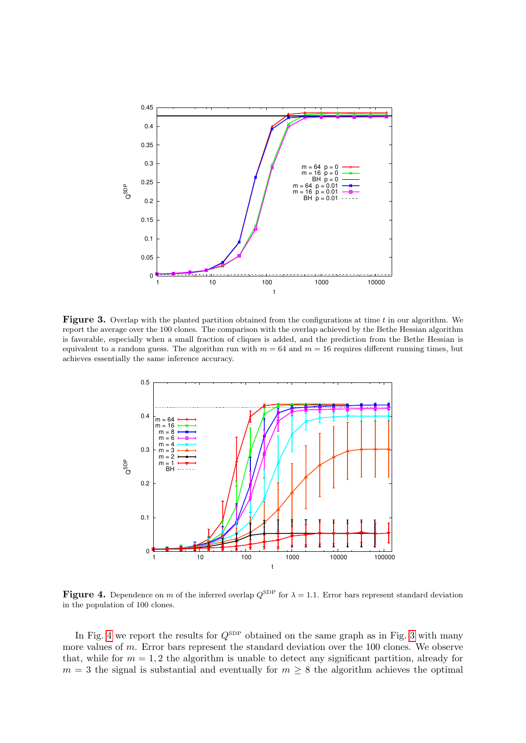

<span id="page-6-0"></span>**Figure 3.** Overlap with the planted partition obtained from the configurations at time  $t$  in our algorithm. We report the average over the 100 clones. The comparison with the overlap achieved by the Bethe Hessian algorithm is favorable, especially when a small fraction of cliques is added, and the prediction from the Bethe Hessian is equivalent to a random guess. The algorithm run with  $m = 64$  and  $m = 16$  requires different running times, but achieves essentially the same inference accuracy.



<span id="page-6-1"></span>**Figure 4.** Dependence on m of the inferred overlap  $Q^{\text{SDP}}$  for  $\lambda = 1.1$ . Error bars represent standard deviation in the population of 100 clones.

In Fig. [4](#page-6-1) we report the results for  $Q^{\text{SDP}}$  obtained on the same graph as in Fig. [3](#page-6-0) with many more values of m. Error bars represent the standard deviation over the 100 clones. We observe that, while for  $m = 1, 2$  the algorithm is unable to detect any significant partition, already for  $m = 3$  the signal is substantial and eventually for  $m \geq 8$  the algorithm achieves the optimal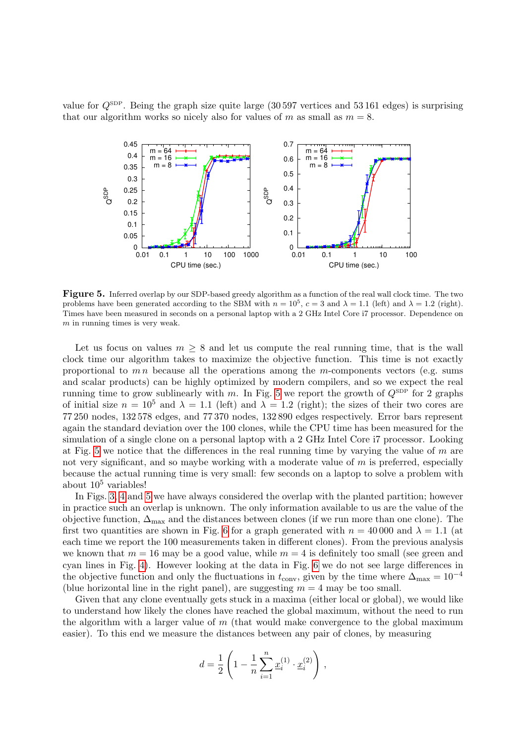value for  $Q^{\text{SDP}}$ . Being the graph size quite large (30 597 vertices and 53 161 edges) is surprising that our algorithm works so nicely also for values of m as small as  $m = 8$ .



<span id="page-7-0"></span>Figure 5. Inferred overlap by our SDP-based greedy algorithm as a function of the real wall clock time. The two problems have been generated according to the SBM with  $n = 10^5$ ,  $c = 3$  and  $\lambda = 1.1$  (left) and  $\lambda = 1.2$  (right). Times have been measured in seconds on a personal laptop with a 2 GHz Intel Core i7 processor. Dependence on m in running times is very weak.

Let us focus on values  $m \geq 8$  and let us compute the real running time, that is the wall clock time our algorithm takes to maximize the objective function. This time is not exactly proportional to  $m n$  because all the operations among the m-components vectors (e.g. sums and scalar products) can be highly optimized by modern compilers, and so we expect the real running time to grow sublinearly with m. In Fig. [5](#page-7-0) we report the growth of  $Q^{\text{SDP}}$  for 2 graphs of initial size  $n = 10^5$  and  $\lambda = 1.1$  (left) and  $\lambda = 1.2$  (right); the sizes of their two cores are 77 250 nodes, 132 578 edges, and 77 370 nodes, 132 890 edges respectively. Error bars represent again the standard deviation over the 100 clones, while the CPU time has been measured for the simulation of a single clone on a personal laptop with a 2 GHz Intel Core i7 processor. Looking at Fig. [5](#page-7-0) we notice that the differences in the real running time by varying the value of  $m$  are not very significant, and so maybe working with a moderate value of  $m$  is preferred, especially because the actual running time is very small: few seconds on a laptop to solve a problem with about  $10^5$  variables!

In Figs. [3,](#page-6-0) [4](#page-6-1) and [5](#page-7-0) we have always considered the overlap with the planted partition; however in practice such an overlap is unknown. The only information available to us are the value of the objective function,  $\Delta_{\text{max}}$  and the distances between clones (if we run more than one clone). The first two quantities are shown in Fig. [6](#page-8-0) for a graph generated with  $n = 40000$  and  $\lambda = 1.1$  (at each time we report the 100 measurements taken in different clones). From the previous analysis we known that  $m = 16$  may be a good value, while  $m = 4$  is definitely too small (see green and cyan lines in Fig. [4\)](#page-6-1). However looking at the data in Fig. [6](#page-8-0) we do not see large differences in the objective function and only the fluctuations in  $t_{\text{conv}}$ , given by the time where  $\Delta_{\text{max}} = 10^{-4}$ (blue horizontal line in the right panel), are suggesting  $m = 4$  may be too small.

Given that any clone eventually gets stuck in a maxima (either local or global), we would like to understand how likely the clones have reached the global maximum, without the need to run the algorithm with a larger value of  $m$  (that would make convergence to the global maximum easier). To this end we measure the distances between any pair of clones, by measuring

$$
d = \frac{1}{2} \left( 1 - \frac{1}{n} \sum_{i=1}^{n} \underline{x}_i^{(1)} \cdot \underline{x}_i^{(2)} \right),
$$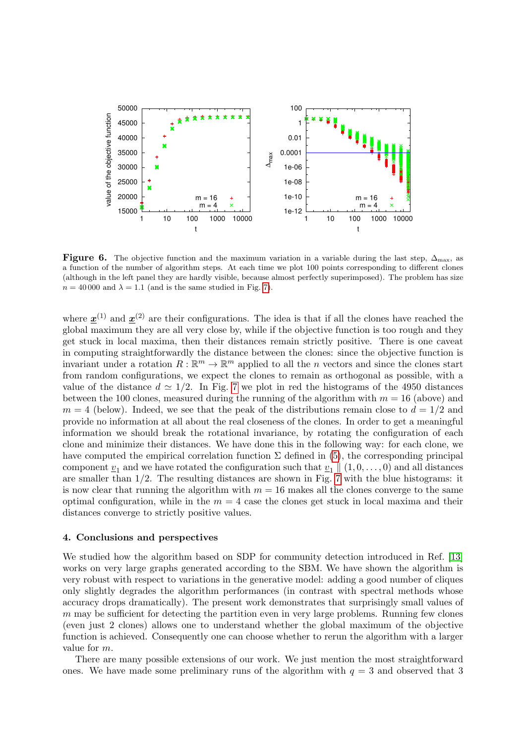

<span id="page-8-0"></span>**Figure 6.** The objective function and the maximum variation in a variable during the last step,  $\Delta_{\text{max}}$ , as a function of the number of algorithm steps. At each time we plot 100 points corresponding to different clones (although in the left panel they are hardly visible, because almost perfectly superimposed). The problem has size  $n = 40000$  and  $\lambda = 1.1$  (and is the same studied in Fig. [7\)](#page-9-0).

where  $\underline{x}^{(1)}$  and  $\underline{x}^{(2)}$  are their configurations. The idea is that if all the clones have reached the global maximum they are all very close by, while if the objective function is too rough and they get stuck in local maxima, then their distances remain strictly positive. There is one caveat in computing straightforwardly the distance between the clones: since the objective function is invariant under a rotation  $R : \mathbb{R}^m \to \mathbb{R}^m$  applied to all the *n* vectors and since the clones start from random configurations, we expect the clones to remain as orthogonal as possible, with a value of the distance  $d \simeq 1/2$ . In Fig. [7](#page-9-0) we plot in red the histograms of the 4950 distances between the 100 clones, measured during the running of the algorithm with  $m = 16$  (above) and  $m = 4$  (below). Indeed, we see that the peak of the distributions remain close to  $d = 1/2$  and provide no information at all about the real closeness of the clones. In order to get a meaningful information we should break the rotational invariance, by rotating the configuration of each clone and minimize their distances. We have done this in the following way: for each clone, we have computed the empirical correlation function  $\Sigma$  defined in [\(5\)](#page-3-3), the corresponding principal component  $v_1$  and we have rotated the configuration such that  $v_1 \parallel (1, 0, \ldots, 0)$  and all distances are smaller than  $1/2$ . The resulting distances are shown in Fig. [7](#page-9-0) with the blue histograms: it is now clear that running the algorithm with  $m = 16$  makes all the clones converge to the same optimal configuration, while in the  $m = 4$  case the clones get stuck in local maxima and their distances converge to strictly positive values.

## 4. Conclusions and perspectives

We studied how the algorithm based on SDP for community detection introduced in Ref. [\[13\]](#page-10-0) works on very large graphs generated according to the SBM. We have shown the algorithm is very robust with respect to variations in the generative model: adding a good number of cliques only slightly degrades the algorithm performances (in contrast with spectral methods whose accuracy drops dramatically). The present work demonstrates that surprisingly small values of  $m$  may be sufficient for detecting the partition even in very large problems. Running few clones (even just 2 clones) allows one to understand whether the global maximum of the objective function is achieved. Consequently one can choose whether to rerun the algorithm with a larger value for m.

There are many possible extensions of our work. We just mention the most straightforward ones. We have made some preliminary runs of the algorithm with  $q = 3$  and observed that 3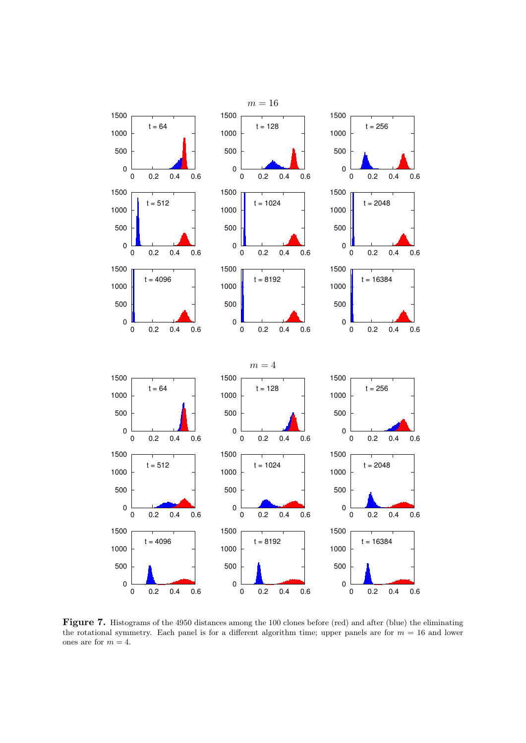

<span id="page-9-0"></span>Figure 7. Histograms of the 4950 distances among the 100 clones before (red) and after (blue) the eliminating the rotational symmetry. Each panel is for a different algorithm time; upper panels are for  $m = 16$  and lower ones are for  $m = 4$ .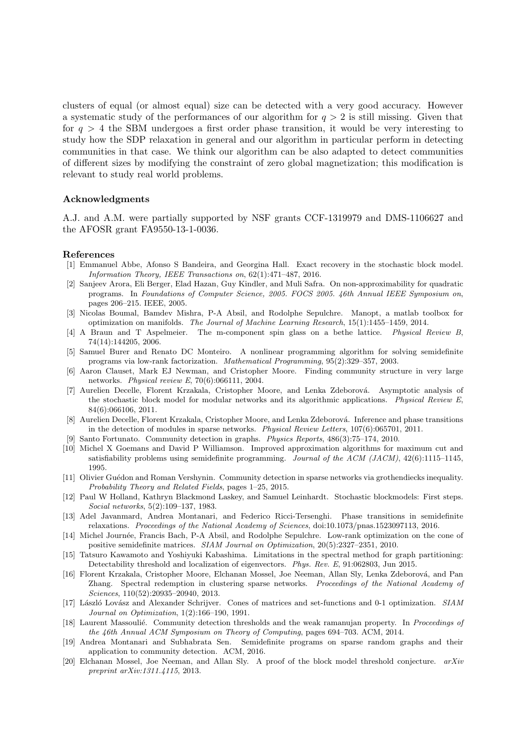clusters of equal (or almost equal) size can be detected with a very good accuracy. However a systematic study of the performances of our algorithm for  $q > 2$  is still missing. Given that for  $q > 4$  the SBM undergoes a first order phase transition, it would be very interesting to study how the SDP relaxation in general and our algorithm in particular perform in detecting communities in that case. We think our algorithm can be also adapted to detect communities of different sizes by modifying the constraint of zero global magnetization; this modification is relevant to study real world problems.

## Acknowledgments

A.J. and A.M. were partially supported by NSF grants CCF-1319979 and DMS-1106627 and the AFOSR grant FA9550-13-1-0036.

## References

- <span id="page-10-13"></span>[1] Emmanuel Abbe, Afonso S Bandeira, and Georgina Hall. Exact recovery in the stochastic block model. Information Theory, IEEE Transactions on, 62(1):471–487, 2016.
- <span id="page-10-10"></span>[2] Sanjeev Arora, Eli Berger, Elad Hazan, Guy Kindler, and Muli Safra. On non-approximability for quadratic programs. In Foundations of Computer Science, 2005. FOCS 2005. 46th Annual IEEE Symposium on, pages 206–215. IEEE, 2005.
- <span id="page-10-17"></span>[3] Nicolas Boumal, Bamdev Mishra, P-A Absil, and Rodolphe Sepulchre. Manopt, a matlab toolbox for optimization on manifolds. The Journal of Machine Learning Research, 15(1):1455–1459, 2014.
- <span id="page-10-18"></span>[4] A Braun and T Aspelmeier. The m-component spin glass on a bethe lattice. Physical Review B, 74(14):144205, 2006.
- <span id="page-10-15"></span>[5] Samuel Burer and Renato DC Monteiro. A nonlinear programming algorithm for solving semidefinite programs via low-rank factorization. Mathematical Programming, 95(2):329–357, 2003.
- <span id="page-10-9"></span>[6] Aaron Clauset, Mark EJ Newman, and Cristopher Moore. Finding community structure in very large networks. Physical review E, 70(6):066111, 2004.
- <span id="page-10-3"></span>[7] Aurelien Decelle, Florent Krzakala, Cristopher Moore, and Lenka Zdeborov´a. Asymptotic analysis of the stochastic block model for modular networks and its algorithmic applications. Physical Review E, 84(6):066106, 2011.
- <span id="page-10-6"></span>[8] Aurelien Decelle, Florent Krzakala, Cristopher Moore, and Lenka Zdeborová. Inference and phase transitions in the detection of modules in sparse networks. Physical Review Letters, 107(6):065701, 2011.
- <span id="page-10-1"></span>[9] Santo Fortunato. Community detection in graphs. Physics Reports, 486(3):75–174, 2010.
- <span id="page-10-11"></span>[10] Michel X Goemans and David P Williamson. Improved approximation algorithms for maximum cut and satisfiability problems using semidefinite programming. Journal of the ACM (JACM), 42(6):1115–1145, 1995.
- <span id="page-10-14"></span>[11] Olivier Guédon and Roman Vershynin. Community detection in sparse networks via grothendiecks inequality. Probability Theory and Related Fields, pages 1–25, 2015.
- <span id="page-10-2"></span>[12] Paul W Holland, Kathryn Blackmond Laskey, and Samuel Leinhardt. Stochastic blockmodels: First steps. Social networks, 5(2):109–137, 1983.
- <span id="page-10-0"></span>[13] Adel Javanmard, Andrea Montanari, and Federico Ricci-Tersenghi. Phase transitions in semidefinite relaxations. Proceedings of the National Academy of Sciences, doi:10.1073/pnas.1523097113, 2016.
- <span id="page-10-16"></span>[14] Michel Journée, Francis Bach, P-A Absil, and Rodolphe Sepulchre. Low-rank optimization on the cone of positive semidefinite matrices. SIAM Journal on Optimization, 20(5):2327–2351, 2010.
- <span id="page-10-7"></span>[15] Tatsuro Kawamoto and Yoshiyuki Kabashima. Limitations in the spectral method for graph partitioning: Detectability threshold and localization of eigenvectors. Phys. Rev. E, 91:062803, Jun 2015.
- <span id="page-10-8"></span>[16] Florent Krzakala, Cristopher Moore, Elchanan Mossel, Joe Neeman, Allan Sly, Lenka Zdeborová, and Pan Zhang. Spectral redemption in clustering sparse networks. Proceedings of the National Academy of Sciences, 110(52):20935-20940, 2013.
- <span id="page-10-12"></span>[17] László Lovász and Alexander Schrijver. Cones of matrices and set-functions and 0-1 optimization. SIAM Journal on Optimization, 1(2):166–190, 1991.
- <span id="page-10-5"></span>[18] Laurent Massoulié. Community detection thresholds and the weak ramanujan property. In Proceedings of the 46th Annual ACM Symposium on Theory of Computing, pages 694–703. ACM, 2014.
- <span id="page-10-19"></span>[19] Andrea Montanari and Subhabrata Sen. Semidefinite programs on sparse random graphs and their application to community detection. ACM, 2016.
- <span id="page-10-4"></span>[20] Elchanan Mossel, Joe Neeman, and Allan Sly. A proof of the block model threshold conjecture. arXiv preprint arXiv:1311.4115, 2013.